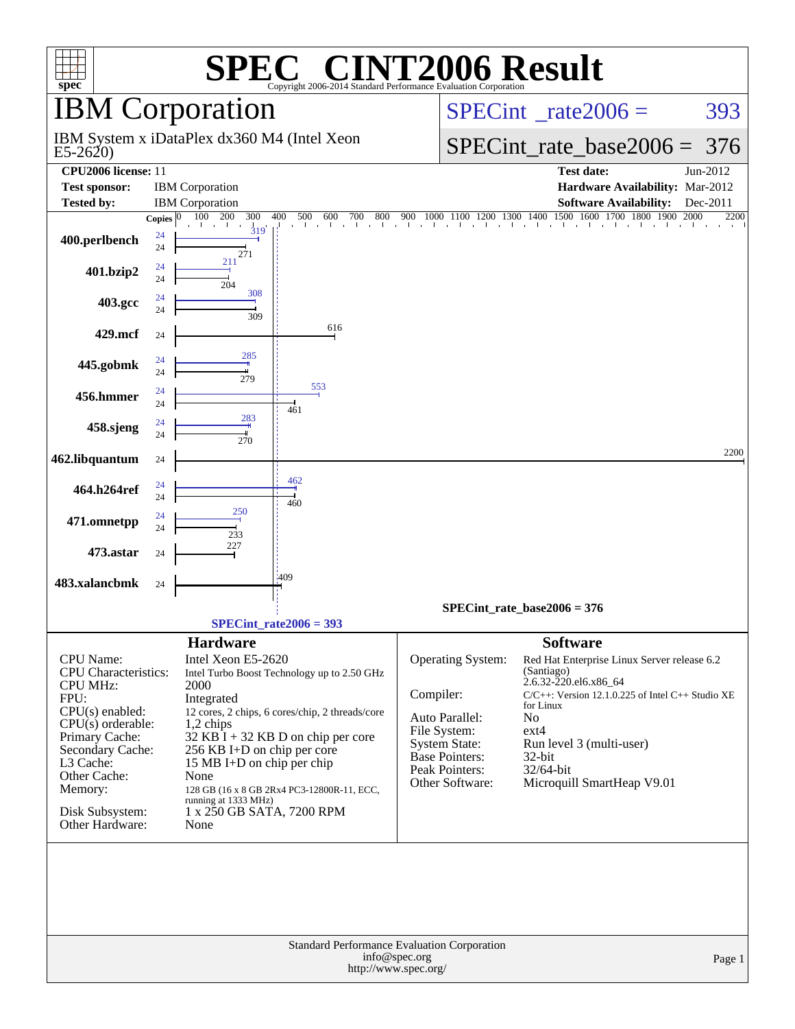| $spec^*$                                                                                                                                                                                                                                   |                | SPE                                                                                                                                                                                                        | <b>C® CINT2006 Result</b><br>Copyright 2006-2014 Standard Performance Evaluation Corporation                                                                                       |                                                                                                                |                                             |                                                                                                                          |                                                                                                                                                                                                     |                              |
|--------------------------------------------------------------------------------------------------------------------------------------------------------------------------------------------------------------------------------------------|----------------|------------------------------------------------------------------------------------------------------------------------------------------------------------------------------------------------------------|------------------------------------------------------------------------------------------------------------------------------------------------------------------------------------|----------------------------------------------------------------------------------------------------------------|---------------------------------------------|--------------------------------------------------------------------------------------------------------------------------|-----------------------------------------------------------------------------------------------------------------------------------------------------------------------------------------------------|------------------------------|
|                                                                                                                                                                                                                                            |                | <b>IBM</b> Corporation                                                                                                                                                                                     |                                                                                                                                                                                    |                                                                                                                |                                             |                                                                                                                          | $SPECint^{\circ}$ <sub>_rate2006</sub> =                                                                                                                                                            | 393                          |
| $E5-2620$                                                                                                                                                                                                                                  |                | IBM System x iDataPlex dx360 M4 (Intel Xeon                                                                                                                                                                |                                                                                                                                                                                    |                                                                                                                |                                             |                                                                                                                          | $SPECint_rate_base2006 =$                                                                                                                                                                           | 376                          |
| CPU2006 license: 11<br><b>Test sponsor:</b><br><b>Tested by:</b>                                                                                                                                                                           | Copies $ 0 $   | <b>IBM</b> Corporation<br><b>IBM</b> Corporation<br>300<br>100<br>- 200                                                                                                                                    | 400<br>600<br>500<br>700<br>800                                                                                                                                                    | 900                                                                                                            |                                             |                                                                                                                          | <b>Test date:</b><br>Hardware Availability: Mar-2012<br><b>Software Availability:</b><br>$1000\quad 1100\quad 1200\quad 1300\quad 1400\quad 1500\quad 1600\quad 1700\quad 1800\quad 1900\quad 2000$ | Jun-2012<br>Dec-2011<br>2200 |
| 400.perlbench                                                                                                                                                                                                                              | 24<br>24       | 319<br>271                                                                                                                                                                                                 |                                                                                                                                                                                    |                                                                                                                |                                             |                                                                                                                          |                                                                                                                                                                                                     |                              |
| 401.bzip2                                                                                                                                                                                                                                  | 24<br>24       | 211<br>204                                                                                                                                                                                                 |                                                                                                                                                                                    |                                                                                                                |                                             |                                                                                                                          |                                                                                                                                                                                                     |                              |
| 403.gcc                                                                                                                                                                                                                                    | 24<br>24       | 308<br>309                                                                                                                                                                                                 |                                                                                                                                                                                    |                                                                                                                |                                             |                                                                                                                          |                                                                                                                                                                                                     |                              |
| 429.mcf                                                                                                                                                                                                                                    | 24             | 285                                                                                                                                                                                                        | 616                                                                                                                                                                                |                                                                                                                |                                             |                                                                                                                          |                                                                                                                                                                                                     |                              |
| 445.gobmk                                                                                                                                                                                                                                  | 24<br>24       | 279                                                                                                                                                                                                        | 553                                                                                                                                                                                |                                                                                                                |                                             |                                                                                                                          |                                                                                                                                                                                                     |                              |
| 456.hmmer                                                                                                                                                                                                                                  | 24<br>24<br>24 | 283                                                                                                                                                                                                        | 461                                                                                                                                                                                |                                                                                                                |                                             |                                                                                                                          |                                                                                                                                                                                                     |                              |
| 458.sjeng                                                                                                                                                                                                                                  | 24             | 270                                                                                                                                                                                                        |                                                                                                                                                                                    |                                                                                                                |                                             |                                                                                                                          |                                                                                                                                                                                                     | 2200                         |
| 462.libquantum<br>464.h264ref                                                                                                                                                                                                              | 24<br>24       |                                                                                                                                                                                                            | 462                                                                                                                                                                                |                                                                                                                |                                             |                                                                                                                          |                                                                                                                                                                                                     |                              |
| 471.omnetpp                                                                                                                                                                                                                                | 24<br>24<br>24 |                                                                                                                                                                                                            | 460                                                                                                                                                                                |                                                                                                                |                                             |                                                                                                                          |                                                                                                                                                                                                     |                              |
| 473.astar                                                                                                                                                                                                                                  | 24             | 233<br>227                                                                                                                                                                                                 |                                                                                                                                                                                    |                                                                                                                |                                             |                                                                                                                          |                                                                                                                                                                                                     |                              |
| 483.xalancbmk                                                                                                                                                                                                                              | 24             |                                                                                                                                                                                                            | 409                                                                                                                                                                                |                                                                                                                |                                             |                                                                                                                          |                                                                                                                                                                                                     |                              |
|                                                                                                                                                                                                                                            |                |                                                                                                                                                                                                            | $SPECint_rate2006 = 393$                                                                                                                                                           |                                                                                                                | $SPECint_rate_base2006 = 376$               |                                                                                                                          |                                                                                                                                                                                                     |                              |
| <b>CPU</b> Name:<br><b>CPU</b> Characteristics:<br><b>CPU MHz:</b><br>FPU:<br>$CPU(s)$ enabled:<br>$CPU(s)$ orderable:<br>Primary Cache:<br>Secondary Cache:<br>L3 Cache:<br>Other Cache:<br>Memory:<br>Disk Subsystem:<br>Other Hardware: |                | <b>Hardware</b><br>Intel Xeon E5-2620<br>2000<br>Integrated<br>1,2 chips<br>256 KB I+D on chip per core<br>15 MB I+D on chip per chip<br>None<br>running at 1333 MHz)<br>1 x 250 GB SATA, 7200 RPM<br>None | Intel Turbo Boost Technology up to 2.50 GHz<br>12 cores, 2 chips, 6 cores/chip, 2 threads/core<br>32 KB I + 32 KB D on chip per core<br>128 GB (16 x 8 GB 2Rx4 PC3-12800R-11, ECC, | Compiler:<br>Auto Parallel:<br>File System:<br><b>System State:</b><br><b>Base Pointers:</b><br>Peak Pointers: | <b>Operating System:</b><br>Other Software: | <b>Software</b><br>(Santiago)<br>2.6.32-220.el6.x86_64<br>for Linux<br>N <sub>o</sub><br>$ext{4}$<br>32-bit<br>32/64-bit | Red Hat Enterprise Linux Server release 6.2<br>$C/C++$ : Version 12.1.0.225 of Intel $C++$ Studio XE<br>Run level 3 (multi-user)<br>Microquill SmartHeap V9.01                                      |                              |
|                                                                                                                                                                                                                                            |                |                                                                                                                                                                                                            | <b>Standard Performance Evaluation Corporation</b>                                                                                                                                 | info@spec.org<br>http://www.spec.org/                                                                          |                                             |                                                                                                                          |                                                                                                                                                                                                     | Page 1                       |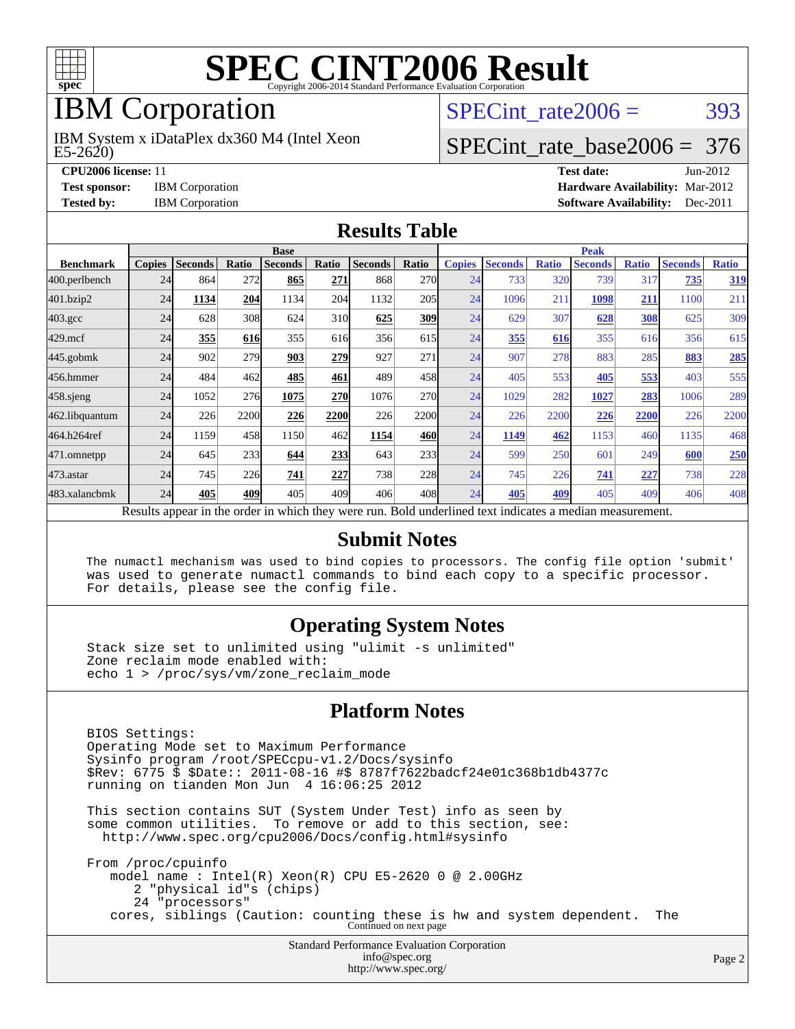

# IBM Corporation

 $E5-2620$ IBM System x iDataPlex dx360 M4 (Intel Xeon SPECint rate $2006 = 393$ 

# [SPECint\\_rate\\_base2006 =](http://www.spec.org/auto/cpu2006/Docs/result-fields.html#SPECintratebase2006) 376

**[CPU2006 license:](http://www.spec.org/auto/cpu2006/Docs/result-fields.html#CPU2006license)** 11 **[Test date:](http://www.spec.org/auto/cpu2006/Docs/result-fields.html#Testdate)** Jun-2012 **[Test sponsor:](http://www.spec.org/auto/cpu2006/Docs/result-fields.html#Testsponsor)** IBM Corporation **[Hardware Availability:](http://www.spec.org/auto/cpu2006/Docs/result-fields.html#HardwareAvailability)** Mar-2012 **[Tested by:](http://www.spec.org/auto/cpu2006/Docs/result-fields.html#Testedby)** IBM Corporation **[Software Availability:](http://www.spec.org/auto/cpu2006/Docs/result-fields.html#SoftwareAvailability)** Dec-2011

#### **[Results Table](http://www.spec.org/auto/cpu2006/Docs/result-fields.html#ResultsTable)**

|                                                                                                          | <b>Base</b>   |                |       |                |            |                |            | <b>Peak</b>   |                |              |                |              |                |              |
|----------------------------------------------------------------------------------------------------------|---------------|----------------|-------|----------------|------------|----------------|------------|---------------|----------------|--------------|----------------|--------------|----------------|--------------|
| <b>Benchmark</b>                                                                                         | <b>Copies</b> | <b>Seconds</b> | Ratio | <b>Seconds</b> | Ratio      | <b>Seconds</b> | Ratio      | <b>Copies</b> | <b>Seconds</b> | <b>Ratio</b> | <b>Seconds</b> | <b>Ratio</b> | <b>Seconds</b> | <b>Ratio</b> |
| 400.perlbench                                                                                            | 24            | 864            | 272   | 865            | 271        | 868            | 270l       | 24            | 733            | 320          | 739            | 317          | 735            | 319          |
| 401.bzip2                                                                                                | 24            | 1134           | 204   | 1134           | 204        | 1132           | 205        | 24            | 1096           | 211          | 1098           | 211          | 1100           | 211          |
| $403.\mathrm{gcc}$                                                                                       | 24            | 628            | 308   | 624            | 310        | 625            | 309        | 24            | 629            | 307          | 628            | 308          | 625            | 309          |
| $429$ .mcf                                                                                               | 24            | 355            | 616   | 355            | 616        | 356            | 615        | 24            | 355            | 616          | 355            | 616          | 356            | 615          |
| $445$ .gobm $k$                                                                                          | 24            | 902            | 279   | 903            | 279        | 927            | 271        | 24            | 907            | 278          | 883            | 285          | 883            | 285          |
| 456.hmmer                                                                                                | 24            | 484            | 462   | 485            | 461        | 489            | 458        | 24            | 405            | 553          | 405            | 553          | 403            | 555          |
| $458$ .sjeng                                                                                             | 24            | 1052           | 276   | 1075           | <b>270</b> | 1076           | <b>270</b> | 24            | 1029           | 282          | 1027           | 283          | 1006           | 289          |
| 462.libquantum                                                                                           | 24            | 226            | 2200  | 226            | 2200       | 226            | 2200       | 24            | 226            | 2200         | 226            | 2200         | 226            | 2200         |
| 464.h264ref                                                                                              | 24            | 1159           | 458   | 1150           | 462        | 1154           | 460        | 24            | 1149           | 462          | 1153           | 460          | 1135           | 468          |
| 471.omnetpp                                                                                              | 24            | 645            | 233   | 644            | 233        | 643            | 233        | 24            | 599            | 250          | 601            | 249          | 600            | 250          |
| $473$ . astar                                                                                            | 24            | 745            | 226   | 741            | 227        | 738            | 228        | 24            | 745            | 226          | 741            | 227          | 738            | 228          |
| 483.xalancbmk                                                                                            | 24            | 405            | 409   | 405            | 409        | 406            | 408I       | 24            | 405            | 409          | 405            | 409          | 406            | 408          |
| Results appear in the order in which they were run. Bold underlined text indicates a median measurement. |               |                |       |                |            |                |            |               |                |              |                |              |                |              |

#### **[Submit Notes](http://www.spec.org/auto/cpu2006/Docs/result-fields.html#SubmitNotes)**

 The numactl mechanism was used to bind copies to processors. The config file option 'submit' was used to generate numactl commands to bind each copy to a specific processor. For details, please see the config file.

#### **[Operating System Notes](http://www.spec.org/auto/cpu2006/Docs/result-fields.html#OperatingSystemNotes)**

 Stack size set to unlimited using "ulimit -s unlimited" Zone reclaim mode enabled with: echo 1 > /proc/sys/vm/zone\_reclaim\_mode

#### **[Platform Notes](http://www.spec.org/auto/cpu2006/Docs/result-fields.html#PlatformNotes)**

Standard Performance Evaluation Corporation BIOS Settings: Operating Mode set to Maximum Performance Sysinfo program /root/SPECcpu-v1.2/Docs/sysinfo \$Rev: 6775 \$ \$Date:: 2011-08-16 #\$ 8787f7622badcf24e01c368b1db4377c running on tianden Mon Jun 4 16:06:25 2012 This section contains SUT (System Under Test) info as seen by some common utilities. To remove or add to this section, see: <http://www.spec.org/cpu2006/Docs/config.html#sysinfo> From /proc/cpuinfo model name : Intel(R) Xeon(R) CPU E5-2620 0 @ 2.00GHz 2 "physical id"s (chips) 24 "processors" cores, siblings (Caution: counting these is hw and system dependent. The Continued on next page

[info@spec.org](mailto:info@spec.org) <http://www.spec.org/>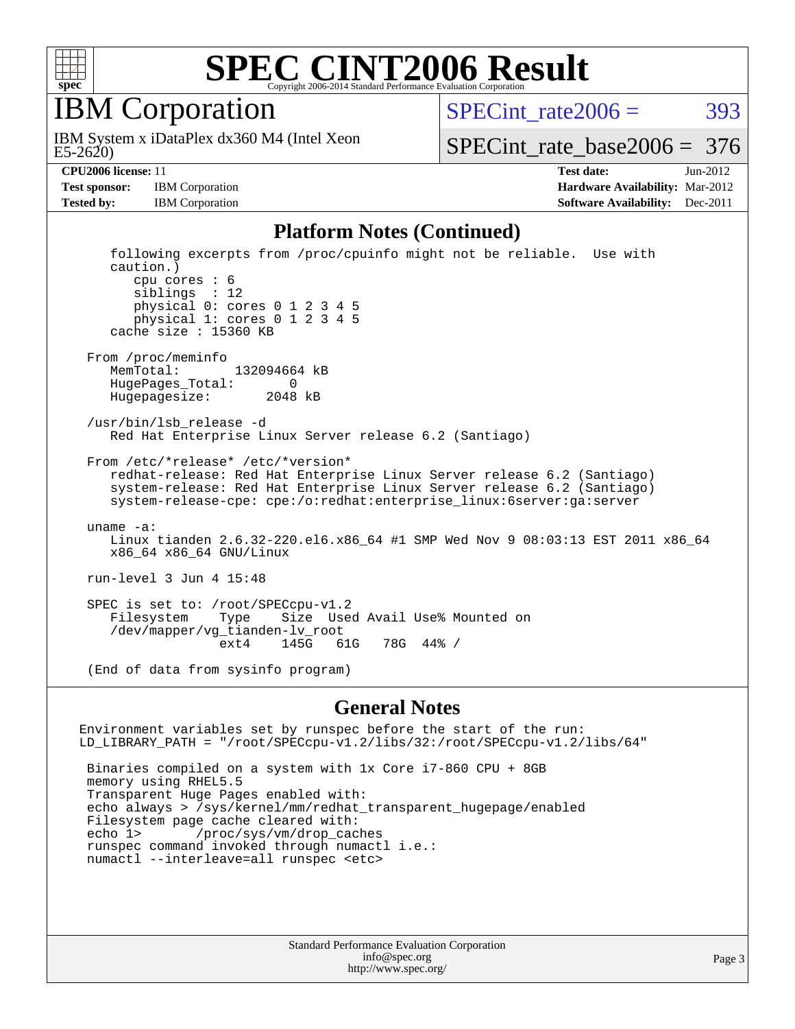

IBM Corporation

 $E5-2620$ IBM System x iDataPlex dx360 M4 (Intel Xeon SPECint rate $2006 = 393$ 

[SPECint\\_rate\\_base2006 =](http://www.spec.org/auto/cpu2006/Docs/result-fields.html#SPECintratebase2006) 376

**[CPU2006 license:](http://www.spec.org/auto/cpu2006/Docs/result-fields.html#CPU2006license)** 11 **[Test date:](http://www.spec.org/auto/cpu2006/Docs/result-fields.html#Testdate)** Jun-2012 **[Test sponsor:](http://www.spec.org/auto/cpu2006/Docs/result-fields.html#Testsponsor)** IBM Corporation **[Hardware Availability:](http://www.spec.org/auto/cpu2006/Docs/result-fields.html#HardwareAvailability)** Mar-2012 **[Tested by:](http://www.spec.org/auto/cpu2006/Docs/result-fields.html#Testedby)** IBM Corporation **IBM** Corporation **[Software Availability:](http://www.spec.org/auto/cpu2006/Docs/result-fields.html#SoftwareAvailability)** Dec-2011

#### **[Platform Notes \(Continued\)](http://www.spec.org/auto/cpu2006/Docs/result-fields.html#PlatformNotes)**

 following excerpts from /proc/cpuinfo might not be reliable. Use with caution.) cpu cores : 6 siblings : 12 physical 0: cores 0 1 2 3 4 5 physical 1: cores 0 1 2 3 4 5 cache size : 15360 KB From /proc/meminfo MemTotal: 132094664 kB HugePages\_Total: 0 Hugepagesize: 2048 kB /usr/bin/lsb\_release -d Red Hat Enterprise Linux Server release 6.2 (Santiago) From /etc/\*release\* /etc/\*version\* redhat-release: Red Hat Enterprise Linux Server release 6.2 (Santiago) system-release: Red Hat Enterprise Linux Server release 6.2 (Santiago) system-release-cpe: cpe:/o:redhat:enterprise\_linux:6server:ga:server uname -a: Linux tianden 2.6.32-220.el6.x86\_64 #1 SMP Wed Nov 9 08:03:13 EST 2011 x86\_64 x86\_64 x86\_64 GNU/Linux run-level 3 Jun 4 15:48 SPEC is set to: /root/SPECcpu-v1.2<br>Filesystem Type Size Use Filesystem Type Size Used Avail Use% Mounted on /dev/mapper/vg\_tianden-lv\_root ext4 145G 61G 78G 44% /

(End of data from sysinfo program)

#### **[General Notes](http://www.spec.org/auto/cpu2006/Docs/result-fields.html#GeneralNotes)**

Environment variables set by runspec before the start of the run: LD\_LIBRARY\_PATH = "/root/SPECcpu-v1.2/libs/32:/root/SPECcpu-v1.2/libs/64" Binaries compiled on a system with 1x Core i7-860 CPU + 8GB memory using RHEL5.5 Transparent Huge Pages enabled with: echo always > /sys/kernel/mm/redhat\_transparent\_hugepage/enabled Filesystem page cache cleared with:<br>echo 1> /proc/sys/vm/drop cac /proc/sys/vm/drop\_caches runspec command invoked through numactl i.e.: numactl --interleave=all runspec <etc>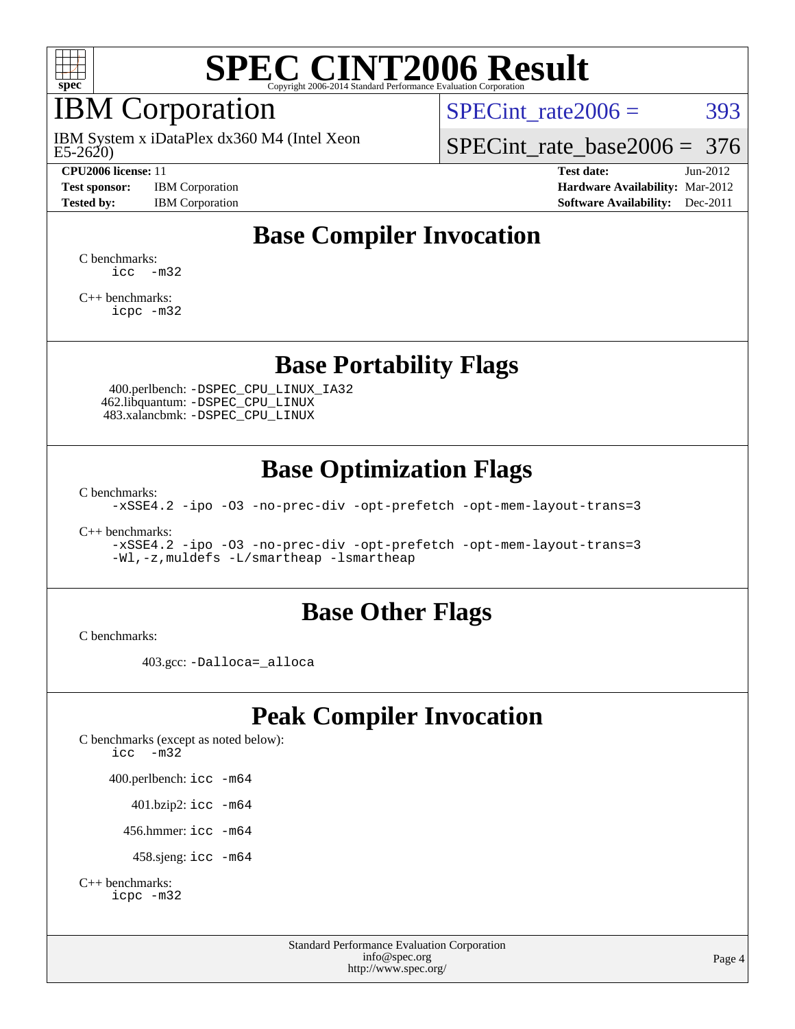

# IBM Corporation

E5-2620) IBM System x iDataPlex dx360 M4 (Intel Xeon

**[Test sponsor:](http://www.spec.org/auto/cpu2006/Docs/result-fields.html#Testsponsor)** IBM Corporation **[Hardware Availability:](http://www.spec.org/auto/cpu2006/Docs/result-fields.html#HardwareAvailability)** Mar-2012 **[Tested by:](http://www.spec.org/auto/cpu2006/Docs/result-fields.html#Testedby)** IBM Corporation **[Software Availability:](http://www.spec.org/auto/cpu2006/Docs/result-fields.html#SoftwareAvailability)** Dec-2011

SPECint rate $2006 = 393$ 

[SPECint\\_rate\\_base2006 =](http://www.spec.org/auto/cpu2006/Docs/result-fields.html#SPECintratebase2006) 376

**[CPU2006 license:](http://www.spec.org/auto/cpu2006/Docs/result-fields.html#CPU2006license)** 11 **[Test date:](http://www.spec.org/auto/cpu2006/Docs/result-fields.html#Testdate)** Jun-2012

## **[Base Compiler Invocation](http://www.spec.org/auto/cpu2006/Docs/result-fields.html#BaseCompilerInvocation)**

[C benchmarks](http://www.spec.org/auto/cpu2006/Docs/result-fields.html#Cbenchmarks):  $\text{icc}$   $-\text{m32}$ 

[C++ benchmarks:](http://www.spec.org/auto/cpu2006/Docs/result-fields.html#CXXbenchmarks) [icpc -m32](http://www.spec.org/cpu2006/results/res2012q3/cpu2006-20120628-23204.flags.html#user_CXXbase_intel_icpc_4e5a5ef1a53fd332b3c49e69c3330699)

### **[Base Portability Flags](http://www.spec.org/auto/cpu2006/Docs/result-fields.html#BasePortabilityFlags)**

 400.perlbench: [-DSPEC\\_CPU\\_LINUX\\_IA32](http://www.spec.org/cpu2006/results/res2012q3/cpu2006-20120628-23204.flags.html#b400.perlbench_baseCPORTABILITY_DSPEC_CPU_LINUX_IA32) 462.libquantum: [-DSPEC\\_CPU\\_LINUX](http://www.spec.org/cpu2006/results/res2012q3/cpu2006-20120628-23204.flags.html#b462.libquantum_baseCPORTABILITY_DSPEC_CPU_LINUX) 483.xalancbmk: [-DSPEC\\_CPU\\_LINUX](http://www.spec.org/cpu2006/results/res2012q3/cpu2006-20120628-23204.flags.html#b483.xalancbmk_baseCXXPORTABILITY_DSPEC_CPU_LINUX)

### **[Base Optimization Flags](http://www.spec.org/auto/cpu2006/Docs/result-fields.html#BaseOptimizationFlags)**

[C benchmarks](http://www.spec.org/auto/cpu2006/Docs/result-fields.html#Cbenchmarks):

[-xSSE4.2](http://www.spec.org/cpu2006/results/res2012q3/cpu2006-20120628-23204.flags.html#user_CCbase_f-xSSE42_f91528193cf0b216347adb8b939d4107) [-ipo](http://www.spec.org/cpu2006/results/res2012q3/cpu2006-20120628-23204.flags.html#user_CCbase_f-ipo) [-O3](http://www.spec.org/cpu2006/results/res2012q3/cpu2006-20120628-23204.flags.html#user_CCbase_f-O3) [-no-prec-div](http://www.spec.org/cpu2006/results/res2012q3/cpu2006-20120628-23204.flags.html#user_CCbase_f-no-prec-div) [-opt-prefetch](http://www.spec.org/cpu2006/results/res2012q3/cpu2006-20120628-23204.flags.html#user_CCbase_f-opt-prefetch) [-opt-mem-layout-trans=3](http://www.spec.org/cpu2006/results/res2012q3/cpu2006-20120628-23204.flags.html#user_CCbase_f-opt-mem-layout-trans_a7b82ad4bd7abf52556d4961a2ae94d5)

[C++ benchmarks:](http://www.spec.org/auto/cpu2006/Docs/result-fields.html#CXXbenchmarks)

[-xSSE4.2](http://www.spec.org/cpu2006/results/res2012q3/cpu2006-20120628-23204.flags.html#user_CXXbase_f-xSSE42_f91528193cf0b216347adb8b939d4107) [-ipo](http://www.spec.org/cpu2006/results/res2012q3/cpu2006-20120628-23204.flags.html#user_CXXbase_f-ipo) [-O3](http://www.spec.org/cpu2006/results/res2012q3/cpu2006-20120628-23204.flags.html#user_CXXbase_f-O3) [-no-prec-div](http://www.spec.org/cpu2006/results/res2012q3/cpu2006-20120628-23204.flags.html#user_CXXbase_f-no-prec-div) [-opt-prefetch](http://www.spec.org/cpu2006/results/res2012q3/cpu2006-20120628-23204.flags.html#user_CXXbase_f-opt-prefetch) [-opt-mem-layout-trans=3](http://www.spec.org/cpu2006/results/res2012q3/cpu2006-20120628-23204.flags.html#user_CXXbase_f-opt-mem-layout-trans_a7b82ad4bd7abf52556d4961a2ae94d5) [-Wl,-z,muldefs](http://www.spec.org/cpu2006/results/res2012q3/cpu2006-20120628-23204.flags.html#user_CXXbase_link_force_multiple1_74079c344b956b9658436fd1b6dd3a8a) [-L/smartheap -lsmartheap](http://www.spec.org/cpu2006/results/res2012q3/cpu2006-20120628-23204.flags.html#user_CXXbase_SmartHeap_7c9e394a5779e1a7fec7c221e123830c)

#### **[Base Other Flags](http://www.spec.org/auto/cpu2006/Docs/result-fields.html#BaseOtherFlags)**

[C benchmarks](http://www.spec.org/auto/cpu2006/Docs/result-fields.html#Cbenchmarks):

403.gcc: [-Dalloca=\\_alloca](http://www.spec.org/cpu2006/results/res2012q3/cpu2006-20120628-23204.flags.html#b403.gcc_baseEXTRA_CFLAGS_Dalloca_be3056838c12de2578596ca5467af7f3)

### **[Peak Compiler Invocation](http://www.spec.org/auto/cpu2006/Docs/result-fields.html#PeakCompilerInvocation)**

[C benchmarks \(except as noted below\)](http://www.spec.org/auto/cpu2006/Docs/result-fields.html#Cbenchmarksexceptasnotedbelow): [icc -m32](http://www.spec.org/cpu2006/results/res2012q3/cpu2006-20120628-23204.flags.html#user_CCpeak_intel_icc_5ff4a39e364c98233615fdd38438c6f2) 400.perlbench: [icc -m64](http://www.spec.org/cpu2006/results/res2012q3/cpu2006-20120628-23204.flags.html#user_peakCCLD400_perlbench_intel_icc_64bit_bda6cc9af1fdbb0edc3795bac97ada53) 401.bzip2: [icc -m64](http://www.spec.org/cpu2006/results/res2012q3/cpu2006-20120628-23204.flags.html#user_peakCCLD401_bzip2_intel_icc_64bit_bda6cc9af1fdbb0edc3795bac97ada53)

456.hmmer: [icc -m64](http://www.spec.org/cpu2006/results/res2012q3/cpu2006-20120628-23204.flags.html#user_peakCCLD456_hmmer_intel_icc_64bit_bda6cc9af1fdbb0edc3795bac97ada53)

458.sjeng: [icc -m64](http://www.spec.org/cpu2006/results/res2012q3/cpu2006-20120628-23204.flags.html#user_peakCCLD458_sjeng_intel_icc_64bit_bda6cc9af1fdbb0edc3795bac97ada53)

```
C++ benchmarks: 
icpc -m32
```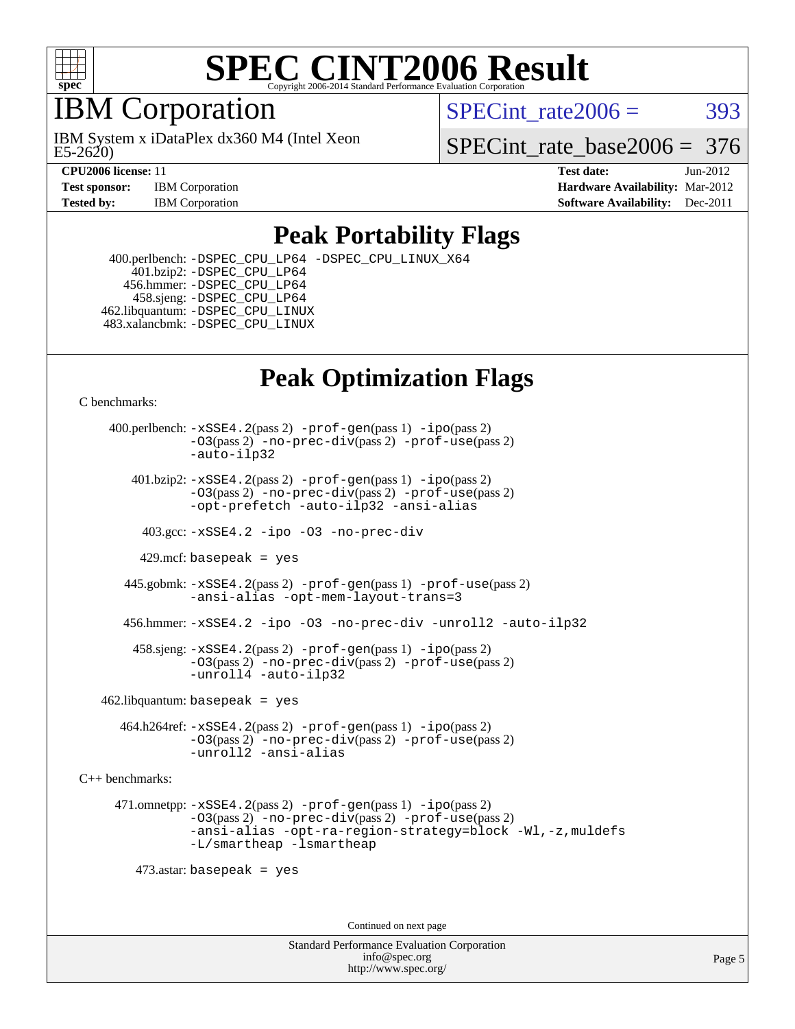

# IBM Corporation

E5-2620) IBM System x iDataPlex dx360 M4 (Intel Xeon SPECint rate $2006 = 393$ 

SPECint rate base  $2006 = 376$ 

**[CPU2006 license:](http://www.spec.org/auto/cpu2006/Docs/result-fields.html#CPU2006license)** 11 **[Test date:](http://www.spec.org/auto/cpu2006/Docs/result-fields.html#Testdate)** Jun-2012 **[Test sponsor:](http://www.spec.org/auto/cpu2006/Docs/result-fields.html#Testsponsor)** IBM Corporation **[Hardware Availability:](http://www.spec.org/auto/cpu2006/Docs/result-fields.html#HardwareAvailability)** Mar-2012 **[Tested by:](http://www.spec.org/auto/cpu2006/Docs/result-fields.html#Testedby)** IBM Corporation **[Software Availability:](http://www.spec.org/auto/cpu2006/Docs/result-fields.html#SoftwareAvailability)** Dec-2011

### **[Peak Portability Flags](http://www.spec.org/auto/cpu2006/Docs/result-fields.html#PeakPortabilityFlags)**

 400.perlbench: [-DSPEC\\_CPU\\_LP64](http://www.spec.org/cpu2006/results/res2012q3/cpu2006-20120628-23204.flags.html#b400.perlbench_peakCPORTABILITY_DSPEC_CPU_LP64) [-DSPEC\\_CPU\\_LINUX\\_X64](http://www.spec.org/cpu2006/results/res2012q3/cpu2006-20120628-23204.flags.html#b400.perlbench_peakCPORTABILITY_DSPEC_CPU_LINUX_X64) 401.bzip2: [-DSPEC\\_CPU\\_LP64](http://www.spec.org/cpu2006/results/res2012q3/cpu2006-20120628-23204.flags.html#suite_peakCPORTABILITY401_bzip2_DSPEC_CPU_LP64) 456.hmmer: [-DSPEC\\_CPU\\_LP64](http://www.spec.org/cpu2006/results/res2012q3/cpu2006-20120628-23204.flags.html#suite_peakCPORTABILITY456_hmmer_DSPEC_CPU_LP64) 458.sjeng: [-DSPEC\\_CPU\\_LP64](http://www.spec.org/cpu2006/results/res2012q3/cpu2006-20120628-23204.flags.html#suite_peakCPORTABILITY458_sjeng_DSPEC_CPU_LP64) 462.libquantum: [-DSPEC\\_CPU\\_LINUX](http://www.spec.org/cpu2006/results/res2012q3/cpu2006-20120628-23204.flags.html#b462.libquantum_peakCPORTABILITY_DSPEC_CPU_LINUX) 483.xalancbmk: [-DSPEC\\_CPU\\_LINUX](http://www.spec.org/cpu2006/results/res2012q3/cpu2006-20120628-23204.flags.html#b483.xalancbmk_peakCXXPORTABILITY_DSPEC_CPU_LINUX)

# **[Peak Optimization Flags](http://www.spec.org/auto/cpu2006/Docs/result-fields.html#PeakOptimizationFlags)**

[C benchmarks](http://www.spec.org/auto/cpu2006/Docs/result-fields.html#Cbenchmarks):

 400.perlbench: [-xSSE4.2](http://www.spec.org/cpu2006/results/res2012q3/cpu2006-20120628-23204.flags.html#user_peakPASS2_CFLAGSPASS2_LDCFLAGS400_perlbench_f-xSSE42_f91528193cf0b216347adb8b939d4107)(pass 2) [-prof-gen](http://www.spec.org/cpu2006/results/res2012q3/cpu2006-20120628-23204.flags.html#user_peakPASS1_CFLAGSPASS1_LDCFLAGS400_perlbench_prof_gen_e43856698f6ca7b7e442dfd80e94a8fc)(pass 1) [-ipo](http://www.spec.org/cpu2006/results/res2012q3/cpu2006-20120628-23204.flags.html#user_peakPASS2_CFLAGSPASS2_LDCFLAGS400_perlbench_f-ipo)(pass 2) [-O3](http://www.spec.org/cpu2006/results/res2012q3/cpu2006-20120628-23204.flags.html#user_peakPASS2_CFLAGSPASS2_LDCFLAGS400_perlbench_f-O3)(pass 2) [-no-prec-div](http://www.spec.org/cpu2006/results/res2012q3/cpu2006-20120628-23204.flags.html#user_peakPASS2_CFLAGSPASS2_LDCFLAGS400_perlbench_f-no-prec-div)(pass 2) [-prof-use](http://www.spec.org/cpu2006/results/res2012q3/cpu2006-20120628-23204.flags.html#user_peakPASS2_CFLAGSPASS2_LDCFLAGS400_perlbench_prof_use_bccf7792157ff70d64e32fe3e1250b55)(pass 2) [-auto-ilp32](http://www.spec.org/cpu2006/results/res2012q3/cpu2006-20120628-23204.flags.html#user_peakCOPTIMIZE400_perlbench_f-auto-ilp32)  $401.bzip2: -xSSE4.2(pass 2) -prof-qen(pass 1) -ipo(pass 2)$  $401.bzip2: -xSSE4.2(pass 2) -prof-qen(pass 1) -ipo(pass 2)$  $401.bzip2: -xSSE4.2(pass 2) -prof-qen(pass 1) -ipo(pass 2)$  $401.bzip2: -xSSE4.2(pass 2) -prof-qen(pass 1) -ipo(pass 2)$  $401.bzip2: -xSSE4.2(pass 2) -prof-qen(pass 1) -ipo(pass 2)$ [-O3](http://www.spec.org/cpu2006/results/res2012q3/cpu2006-20120628-23204.flags.html#user_peakPASS2_CFLAGSPASS2_LDCFLAGS401_bzip2_f-O3)(pass 2) [-no-prec-div](http://www.spec.org/cpu2006/results/res2012q3/cpu2006-20120628-23204.flags.html#user_peakPASS2_CFLAGSPASS2_LDCFLAGS401_bzip2_f-no-prec-div)(pass 2) [-prof-use](http://www.spec.org/cpu2006/results/res2012q3/cpu2006-20120628-23204.flags.html#user_peakPASS2_CFLAGSPASS2_LDCFLAGS401_bzip2_prof_use_bccf7792157ff70d64e32fe3e1250b55)(pass 2) [-opt-prefetch](http://www.spec.org/cpu2006/results/res2012q3/cpu2006-20120628-23204.flags.html#user_peakCOPTIMIZE401_bzip2_f-opt-prefetch) [-auto-ilp32](http://www.spec.org/cpu2006/results/res2012q3/cpu2006-20120628-23204.flags.html#user_peakCOPTIMIZE401_bzip2_f-auto-ilp32) [-ansi-alias](http://www.spec.org/cpu2006/results/res2012q3/cpu2006-20120628-23204.flags.html#user_peakCOPTIMIZE401_bzip2_f-ansi-alias) 403.gcc: [-xSSE4.2](http://www.spec.org/cpu2006/results/res2012q3/cpu2006-20120628-23204.flags.html#user_peakCOPTIMIZE403_gcc_f-xSSE42_f91528193cf0b216347adb8b939d4107) [-ipo](http://www.spec.org/cpu2006/results/res2012q3/cpu2006-20120628-23204.flags.html#user_peakCOPTIMIZE403_gcc_f-ipo) [-O3](http://www.spec.org/cpu2006/results/res2012q3/cpu2006-20120628-23204.flags.html#user_peakCOPTIMIZE403_gcc_f-O3) [-no-prec-div](http://www.spec.org/cpu2006/results/res2012q3/cpu2006-20120628-23204.flags.html#user_peakCOPTIMIZE403_gcc_f-no-prec-div) 429.mcf: basepeak = yes 445.gobmk: [-xSSE4.2](http://www.spec.org/cpu2006/results/res2012q3/cpu2006-20120628-23204.flags.html#user_peakPASS2_CFLAGSPASS2_LDCFLAGS445_gobmk_f-xSSE42_f91528193cf0b216347adb8b939d4107)(pass 2) [-prof-gen](http://www.spec.org/cpu2006/results/res2012q3/cpu2006-20120628-23204.flags.html#user_peakPASS1_CFLAGSPASS1_LDCFLAGS445_gobmk_prof_gen_e43856698f6ca7b7e442dfd80e94a8fc)(pass 1) [-prof-use](http://www.spec.org/cpu2006/results/res2012q3/cpu2006-20120628-23204.flags.html#user_peakPASS2_CFLAGSPASS2_LDCFLAGS445_gobmk_prof_use_bccf7792157ff70d64e32fe3e1250b55)(pass 2) [-ansi-alias](http://www.spec.org/cpu2006/results/res2012q3/cpu2006-20120628-23204.flags.html#user_peakCOPTIMIZE445_gobmk_f-ansi-alias) [-opt-mem-layout-trans=3](http://www.spec.org/cpu2006/results/res2012q3/cpu2006-20120628-23204.flags.html#user_peakCOPTIMIZE445_gobmk_f-opt-mem-layout-trans_a7b82ad4bd7abf52556d4961a2ae94d5) 456.hmmer: [-xSSE4.2](http://www.spec.org/cpu2006/results/res2012q3/cpu2006-20120628-23204.flags.html#user_peakCOPTIMIZE456_hmmer_f-xSSE42_f91528193cf0b216347adb8b939d4107) [-ipo](http://www.spec.org/cpu2006/results/res2012q3/cpu2006-20120628-23204.flags.html#user_peakCOPTIMIZE456_hmmer_f-ipo) [-O3](http://www.spec.org/cpu2006/results/res2012q3/cpu2006-20120628-23204.flags.html#user_peakCOPTIMIZE456_hmmer_f-O3) [-no-prec-div](http://www.spec.org/cpu2006/results/res2012q3/cpu2006-20120628-23204.flags.html#user_peakCOPTIMIZE456_hmmer_f-no-prec-div) [-unroll2](http://www.spec.org/cpu2006/results/res2012q3/cpu2006-20120628-23204.flags.html#user_peakCOPTIMIZE456_hmmer_f-unroll_784dae83bebfb236979b41d2422d7ec2) [-auto-ilp32](http://www.spec.org/cpu2006/results/res2012q3/cpu2006-20120628-23204.flags.html#user_peakCOPTIMIZE456_hmmer_f-auto-ilp32) 458.sjeng: [-xSSE4.2](http://www.spec.org/cpu2006/results/res2012q3/cpu2006-20120628-23204.flags.html#user_peakPASS2_CFLAGSPASS2_LDCFLAGS458_sjeng_f-xSSE42_f91528193cf0b216347adb8b939d4107)(pass 2) [-prof-gen](http://www.spec.org/cpu2006/results/res2012q3/cpu2006-20120628-23204.flags.html#user_peakPASS1_CFLAGSPASS1_LDCFLAGS458_sjeng_prof_gen_e43856698f6ca7b7e442dfd80e94a8fc)(pass 1) [-ipo](http://www.spec.org/cpu2006/results/res2012q3/cpu2006-20120628-23204.flags.html#user_peakPASS2_CFLAGSPASS2_LDCFLAGS458_sjeng_f-ipo)(pass 2) [-O3](http://www.spec.org/cpu2006/results/res2012q3/cpu2006-20120628-23204.flags.html#user_peakPASS2_CFLAGSPASS2_LDCFLAGS458_sjeng_f-O3)(pass 2) [-no-prec-div](http://www.spec.org/cpu2006/results/res2012q3/cpu2006-20120628-23204.flags.html#user_peakPASS2_CFLAGSPASS2_LDCFLAGS458_sjeng_f-no-prec-div)(pass 2) [-prof-use](http://www.spec.org/cpu2006/results/res2012q3/cpu2006-20120628-23204.flags.html#user_peakPASS2_CFLAGSPASS2_LDCFLAGS458_sjeng_prof_use_bccf7792157ff70d64e32fe3e1250b55)(pass 2) [-unroll4](http://www.spec.org/cpu2006/results/res2012q3/cpu2006-20120628-23204.flags.html#user_peakCOPTIMIZE458_sjeng_f-unroll_4e5e4ed65b7fd20bdcd365bec371b81f) [-auto-ilp32](http://www.spec.org/cpu2006/results/res2012q3/cpu2006-20120628-23204.flags.html#user_peakCOPTIMIZE458_sjeng_f-auto-ilp32)  $462$ .libquantum: basepeak = yes 464.h264ref: [-xSSE4.2](http://www.spec.org/cpu2006/results/res2012q3/cpu2006-20120628-23204.flags.html#user_peakPASS2_CFLAGSPASS2_LDCFLAGS464_h264ref_f-xSSE42_f91528193cf0b216347adb8b939d4107)(pass 2) [-prof-gen](http://www.spec.org/cpu2006/results/res2012q3/cpu2006-20120628-23204.flags.html#user_peakPASS1_CFLAGSPASS1_LDCFLAGS464_h264ref_prof_gen_e43856698f6ca7b7e442dfd80e94a8fc)(pass 1) [-ipo](http://www.spec.org/cpu2006/results/res2012q3/cpu2006-20120628-23204.flags.html#user_peakPASS2_CFLAGSPASS2_LDCFLAGS464_h264ref_f-ipo)(pass 2) [-O3](http://www.spec.org/cpu2006/results/res2012q3/cpu2006-20120628-23204.flags.html#user_peakPASS2_CFLAGSPASS2_LDCFLAGS464_h264ref_f-O3)(pass 2) [-no-prec-div](http://www.spec.org/cpu2006/results/res2012q3/cpu2006-20120628-23204.flags.html#user_peakPASS2_CFLAGSPASS2_LDCFLAGS464_h264ref_f-no-prec-div)(pass 2) [-prof-use](http://www.spec.org/cpu2006/results/res2012q3/cpu2006-20120628-23204.flags.html#user_peakPASS2_CFLAGSPASS2_LDCFLAGS464_h264ref_prof_use_bccf7792157ff70d64e32fe3e1250b55)(pass 2) [-unroll2](http://www.spec.org/cpu2006/results/res2012q3/cpu2006-20120628-23204.flags.html#user_peakCOPTIMIZE464_h264ref_f-unroll_784dae83bebfb236979b41d2422d7ec2) [-ansi-alias](http://www.spec.org/cpu2006/results/res2012q3/cpu2006-20120628-23204.flags.html#user_peakCOPTIMIZE464_h264ref_f-ansi-alias) [C++ benchmarks:](http://www.spec.org/auto/cpu2006/Docs/result-fields.html#CXXbenchmarks) 471.omnetpp: [-xSSE4.2](http://www.spec.org/cpu2006/results/res2012q3/cpu2006-20120628-23204.flags.html#user_peakPASS2_CXXFLAGSPASS2_LDCXXFLAGS471_omnetpp_f-xSSE42_f91528193cf0b216347adb8b939d4107)(pass 2) [-prof-gen](http://www.spec.org/cpu2006/results/res2012q3/cpu2006-20120628-23204.flags.html#user_peakPASS1_CXXFLAGSPASS1_LDCXXFLAGS471_omnetpp_prof_gen_e43856698f6ca7b7e442dfd80e94a8fc)(pass 1) [-ipo](http://www.spec.org/cpu2006/results/res2012q3/cpu2006-20120628-23204.flags.html#user_peakPASS2_CXXFLAGSPASS2_LDCXXFLAGS471_omnetpp_f-ipo)(pass 2) [-O3](http://www.spec.org/cpu2006/results/res2012q3/cpu2006-20120628-23204.flags.html#user_peakPASS2_CXXFLAGSPASS2_LDCXXFLAGS471_omnetpp_f-O3)(pass 2) [-no-prec-div](http://www.spec.org/cpu2006/results/res2012q3/cpu2006-20120628-23204.flags.html#user_peakPASS2_CXXFLAGSPASS2_LDCXXFLAGS471_omnetpp_f-no-prec-div)(pass 2) [-prof-use](http://www.spec.org/cpu2006/results/res2012q3/cpu2006-20120628-23204.flags.html#user_peakPASS2_CXXFLAGSPASS2_LDCXXFLAGS471_omnetpp_prof_use_bccf7792157ff70d64e32fe3e1250b55)(pass 2) [-ansi-alias](http://www.spec.org/cpu2006/results/res2012q3/cpu2006-20120628-23204.flags.html#user_peakCXXOPTIMIZE471_omnetpp_f-ansi-alias) [-opt-ra-region-strategy=block](http://www.spec.org/cpu2006/results/res2012q3/cpu2006-20120628-23204.flags.html#user_peakCXXOPTIMIZE471_omnetpp_f-opt-ra-region-strategy_a0a37c372d03933b2a18d4af463c1f69) [-Wl,-z,muldefs](http://www.spec.org/cpu2006/results/res2012q3/cpu2006-20120628-23204.flags.html#user_peakEXTRA_LDFLAGS471_omnetpp_link_force_multiple1_74079c344b956b9658436fd1b6dd3a8a) [-L/smartheap -lsmartheap](http://www.spec.org/cpu2006/results/res2012q3/cpu2006-20120628-23204.flags.html#user_peakEXTRA_LIBS471_omnetpp_SmartHeap_7c9e394a5779e1a7fec7c221e123830c) 473.astar: basepeak = yes

Continued on next page